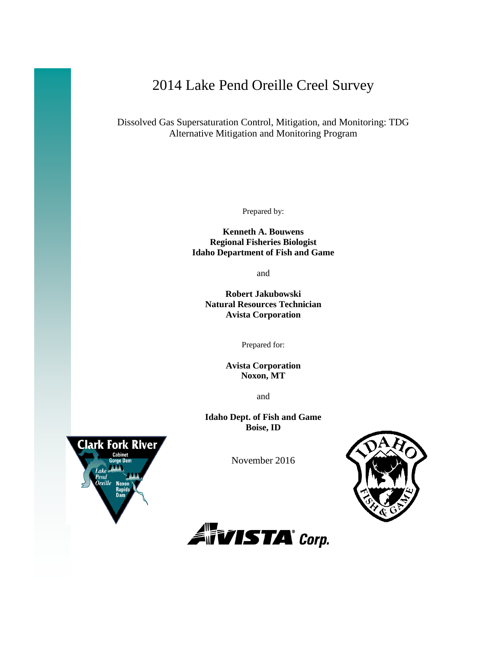# 2014 Lake Pend Oreille Creel Survey

Dissolved Gas Supersaturation Control, Mitigation, and Monitoring: TDG Alternative Mitigation and Monitoring Program

Prepared by:

**Kenneth A. Bouwens Regional Fisheries Biologist Idaho Department of Fish and Game**

and

**Robert Jakubowski Natural Resources Technician Avista Corporation**

Prepared for:

**Avista Corporation Noxon, MT**

and

**Idaho Dept. of Fish and Game Boise, ID**



November 2016



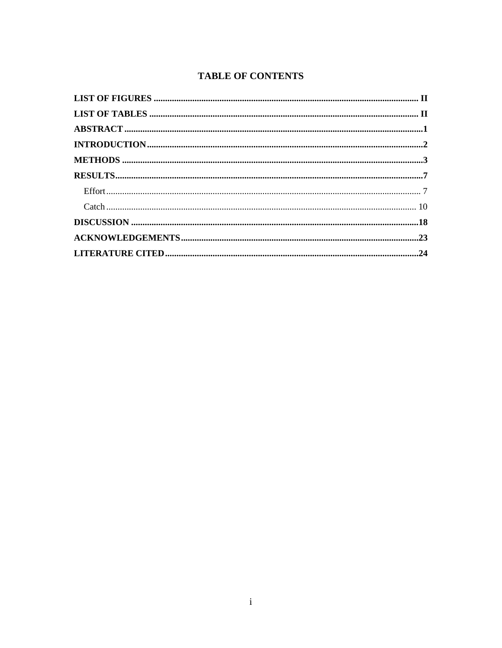# **TABLE OF CONTENTS**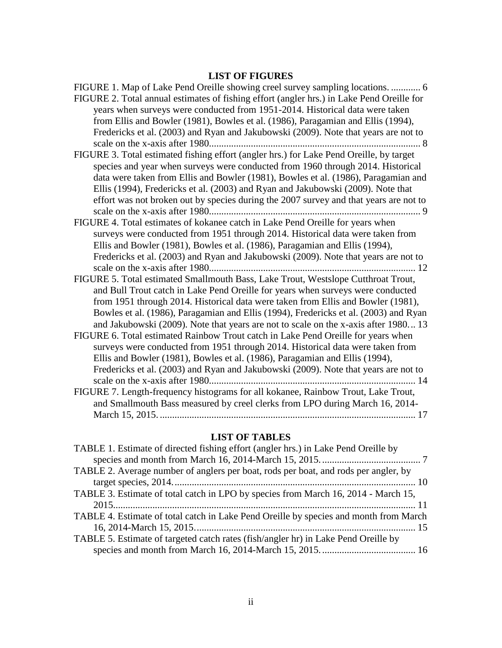# **LIST OF FIGURES**

<span id="page-2-0"></span>

| FIGURE 1. Map of Lake Pend Oreille showing creel survey sampling locations.  6            |
|-------------------------------------------------------------------------------------------|
| FIGURE 2. Total annual estimates of fishing effort (angler hrs.) in Lake Pend Oreille for |
| years when surveys were conducted from 1951-2014. Historical data were taken              |
| from Ellis and Bowler (1981), Bowles et al. (1986), Paragamian and Ellis (1994),          |
| Fredericks et al. (2003) and Ryan and Jakubowski (2009). Note that years are not to       |
|                                                                                           |
| FIGURE 3. Total estimated fishing effort (angler hrs.) for Lake Pend Oreille, by target   |
| species and year when surveys were conducted from 1960 through 2014. Historical           |
| data were taken from Ellis and Bowler (1981), Bowles et al. (1986), Paragamian and        |
| Ellis (1994), Fredericks et al. (2003) and Ryan and Jakubowski (2009). Note that          |
| effort was not broken out by species during the 2007 survey and that years are not to     |
|                                                                                           |
| FIGURE 4. Total estimates of kokanee catch in Lake Pend Oreille for years when            |
| surveys were conducted from 1951 through 2014. Historical data were taken from            |
| Ellis and Bowler (1981), Bowles et al. (1986), Paragamian and Ellis (1994),               |
| Fredericks et al. (2003) and Ryan and Jakubowski (2009). Note that years are not to       |
| FIGURE 5. Total estimated Smallmouth Bass, Lake Trout, Westslope Cutthroat Trout,         |
| and Bull Trout catch in Lake Pend Oreille for years when surveys were conducted           |
| from 1951 through 2014. Historical data were taken from Ellis and Bowler (1981),          |
| Bowles et al. (1986), Paragamian and Ellis (1994), Fredericks et al. (2003) and Ryan      |
| and Jakubowski (2009). Note that years are not to scale on the x-axis after 1980 13       |
| FIGURE 6. Total estimated Rainbow Trout catch in Lake Pend Oreille for years when         |
| surveys were conducted from 1951 through 2014. Historical data were taken from            |
| Ellis and Bowler (1981), Bowles et al. (1986), Paragamian and Ellis (1994),               |
| Fredericks et al. (2003) and Ryan and Jakubowski (2009). Note that years are not to       |
|                                                                                           |
| FIGURE 7. Length-frequency histograms for all kokanee, Rainbow Trout, Lake Trout,         |
| and Smallmouth Bass measured by creel clerks from LPO during March 16, 2014-              |
|                                                                                           |
|                                                                                           |

# **LIST OF TABLES**

<span id="page-2-1"></span>

| TABLE 1. Estimate of directed fishing effort (angler hrs.) in Lake Pend Oreille by    |
|---------------------------------------------------------------------------------------|
|                                                                                       |
| TABLE 2. Average number of anglers per boat, rods per boat, and rods per angler, by   |
|                                                                                       |
| TABLE 3. Estimate of total catch in LPO by species from March 16, 2014 - March 15,    |
|                                                                                       |
| TABLE 4. Estimate of total catch in Lake Pend Oreille by species and month from March |
|                                                                                       |
| TABLE 5. Estimate of targeted catch rates (fish/angler hr) in Lake Pend Oreille by    |
|                                                                                       |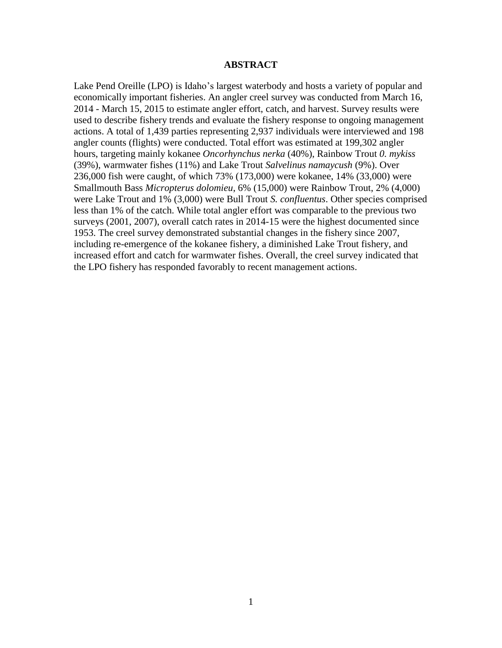## **ABSTRACT**

Lake Pend Oreille (LPO) is Idaho's largest waterbody and hosts a variety of popular and economically important fisheries. An angler creel survey was conducted from March 16, 2014 - March 15, 2015 to estimate angler effort, catch, and harvest. Survey results were used to describe fishery trends and evaluate the fishery response to ongoing management actions. A total of 1,439 parties representing 2,937 individuals were interviewed and 198 angler counts (flights) were conducted. Total effort was estimated at 199,302 angler hours, targeting mainly kokanee *Oncorhynchus nerka* (40%), Rainbow Trout *0. mykiss*  (39%), warmwater fishes (11%) and Lake Trout *Salvelinus namaycush* (9%). Over 236,000 fish were caught, of which 73% (173,000) were kokanee, 14% (33,000) were Smallmouth Bass *Micropterus dolomieu*, 6% (15,000) were Rainbow Trout, 2% (4,000) were Lake Trout and 1% (3,000) were Bull Trout *S. confluentus*. Other species comprised less than 1% of the catch. While total angler effort was comparable to the previous two surveys (2001, 2007), overall catch rates in 2014-15 were the highest documented since 1953. The creel survey demonstrated substantial changes in the fishery since 2007, including re-emergence of the kokanee fishery, a diminished Lake Trout fishery, and increased effort and catch for warmwater fishes. Overall, the creel survey indicated that the LPO fishery has responded favorably to recent management actions.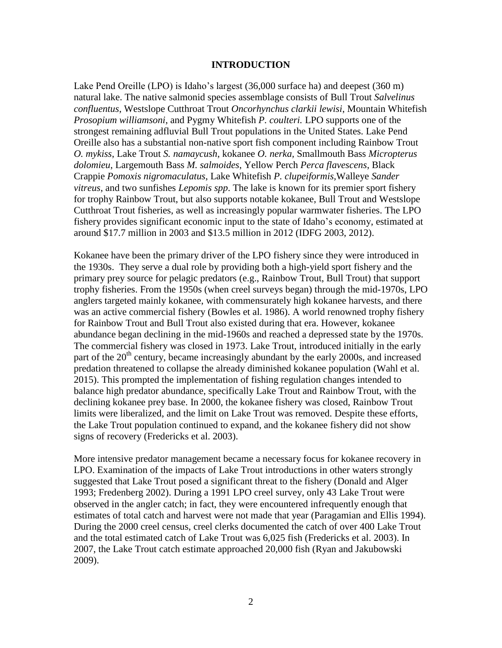### **INTRODUCTION**

<span id="page-4-0"></span>Lake Pend Oreille (LPO) is Idaho's largest (36,000 surface ha) and deepest (360 m) natural lake. The native salmonid species assemblage consists of Bull Trout *Salvelinus confluentus*, Westslope Cutthroat Trout *Oncorhynchus clarkii lewisi*, Mountain Whitefish *Prosopium williamsoni*, and Pygmy Whitefish *P. coulteri.* LPO supports one of the strongest remaining adfluvial Bull Trout populations in the United States. Lake Pend Oreille also has a substantial non-native sport fish component including Rainbow Trout *O. mykiss*, Lake Trout *S. namaycush*, kokanee *O. nerka,* Smallmouth Bass *Micropterus dolomieu*, Largemouth Bass *M. salmoides*, Yellow Perch *Perca flavescens*, Black Crappie *Pomoxis nigromaculatus*, Lake Whitefish *P. clupeiformis,*Walleye *Sander vitreus*, and two sunfishes *Lepomis spp*. The lake is known for its premier sport fishery for trophy Rainbow Trout, but also supports notable kokanee, Bull Trout and Westslope Cutthroat Trout fisheries, as well as increasingly popular warmwater fisheries. The LPO fishery provides significant economic input to the state of Idaho's economy, estimated at around \$17.7 million in 2003 and \$13.5 million in 2012 (IDFG 2003, 2012).

Kokanee have been the primary driver of the LPO fishery since they were introduced in the 1930s. They serve a dual role by providing both a high-yield sport fishery and the primary prey source for pelagic predators (e.g., Rainbow Trout, Bull Trout) that support trophy fisheries. From the 1950s (when creel surveys began) through the mid-1970s, LPO anglers targeted mainly kokanee, with commensurately high kokanee harvests, and there was an active commercial fishery (Bowles et al. 1986). A world renowned trophy fishery for Rainbow Trout and Bull Trout also existed during that era. However, kokanee abundance began declining in the mid-1960s and reached a depressed state by the 1970s. The commercial fishery was closed in 1973. Lake Trout, introduced initially in the early part of the  $20<sup>th</sup>$  century, became increasingly abundant by the early 2000s, and increased predation threatened to collapse the already diminished kokanee population (Wahl et al. 2015). This prompted the implementation of fishing regulation changes intended to balance high predator abundance, specifically Lake Trout and Rainbow Trout, with the declining kokanee prey base. In 2000, the kokanee fishery was closed, Rainbow Trout limits were liberalized, and the limit on Lake Trout was removed. Despite these efforts, the Lake Trout population continued to expand, and the kokanee fishery did not show signs of recovery (Fredericks et al. 2003).

More intensive predator management became a necessary focus for kokanee recovery in LPO. Examination of the impacts of Lake Trout introductions in other waters strongly suggested that Lake Trout posed a significant threat to the fishery (Donald and Alger 1993; Fredenberg 2002). During a 1991 LPO creel survey, only 43 Lake Trout were observed in the angler catch; in fact, they were encountered infrequently enough that estimates of total catch and harvest were not made that year (Paragamian and Ellis 1994). During the 2000 creel census, creel clerks documented the catch of over 400 Lake Trout and the total estimated catch of Lake Trout was 6,025 fish (Fredericks et al. 2003). In 2007, the Lake Trout catch estimate approached 20,000 fish (Ryan and Jakubowski 2009).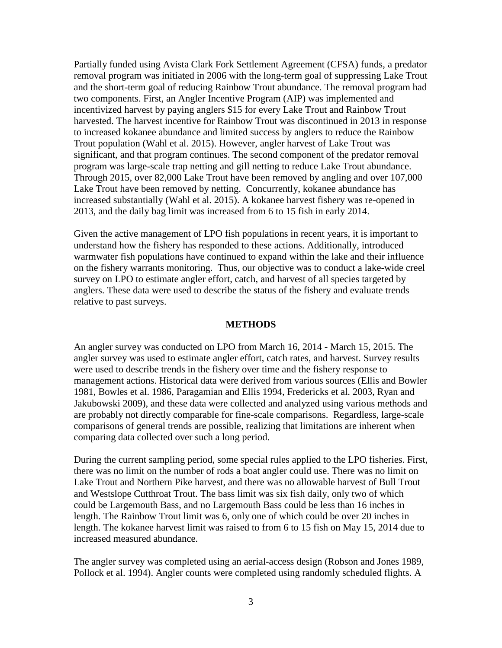Partially funded using Avista Clark Fork Settlement Agreement (CFSA) funds, a predator removal program was initiated in 2006 with the long-term goal of suppressing Lake Trout and the short-term goal of reducing Rainbow Trout abundance. The removal program had two components. First, an Angler Incentive Program (AIP) was implemented and incentivized harvest by paying anglers \$15 for every Lake Trout and Rainbow Trout harvested. The harvest incentive for Rainbow Trout was discontinued in 2013 in response to increased kokanee abundance and limited success by anglers to reduce the Rainbow Trout population (Wahl et al. 2015). However, angler harvest of Lake Trout was significant, and that program continues. The second component of the predator removal program was large-scale trap netting and gill netting to reduce Lake Trout abundance. Through 2015, over 82,000 Lake Trout have been removed by angling and over 107,000 Lake Trout have been removed by netting. Concurrently, kokanee abundance has increased substantially (Wahl et al. 2015). A kokanee harvest fishery was re-opened in 2013, and the daily bag limit was increased from 6 to 15 fish in early 2014.

Given the active management of LPO fish populations in recent years, it is important to understand how the fishery has responded to these actions. Additionally, introduced warmwater fish populations have continued to expand within the lake and their influence on the fishery warrants monitoring. Thus, our objective was to conduct a lake-wide creel survey on LPO to estimate angler effort, catch, and harvest of all species targeted by anglers. These data were used to describe the status of the fishery and evaluate trends relative to past surveys.

### **METHODS**

<span id="page-5-0"></span>An angler survey was conducted on LPO from March 16, 2014 - March 15, 2015. The angler survey was used to estimate angler effort, catch rates, and harvest. Survey results were used to describe trends in the fishery over time and the fishery response to management actions. Historical data were derived from various sources (Ellis and Bowler 1981, Bowles et al. 1986, Paragamian and Ellis 1994, Fredericks et al. 2003, Ryan and Jakubowski 2009), and these data were collected and analyzed using various methods and are probably not directly comparable for fine-scale comparisons. Regardless, large-scale comparisons of general trends are possible, realizing that limitations are inherent when comparing data collected over such a long period.

During the current sampling period, some special rules applied to the LPO fisheries. First, there was no limit on the number of rods a boat angler could use. There was no limit on Lake Trout and Northern Pike harvest, and there was no allowable harvest of Bull Trout and Westslope Cutthroat Trout. The bass limit was six fish daily, only two of which could be Largemouth Bass, and no Largemouth Bass could be less than 16 inches in length. The Rainbow Trout limit was 6, only one of which could be over 20 inches in length. The kokanee harvest limit was raised to from 6 to 15 fish on May 15, 2014 due to increased measured abundance.

The angler survey was completed using an aerial-access design (Robson and Jones 1989, Pollock et al. 1994). Angler counts were completed using randomly scheduled flights. A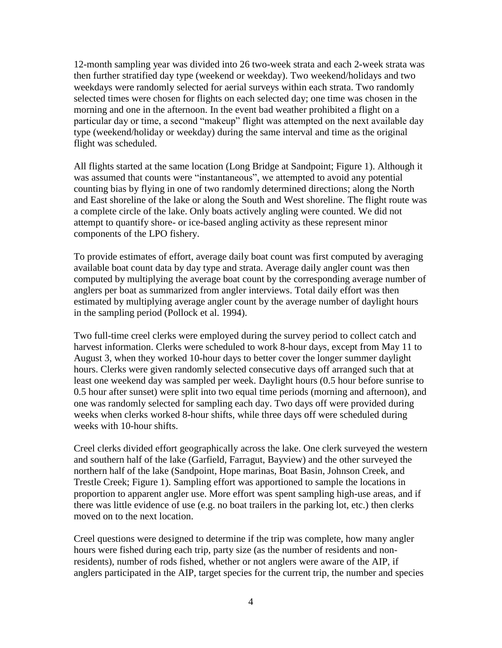12-month sampling year was divided into 26 two-week strata and each 2-week strata was then further stratified day type (weekend or weekday). Two weekend/holidays and two weekdays were randomly selected for aerial surveys within each strata. Two randomly selected times were chosen for flights on each selected day; one time was chosen in the morning and one in the afternoon. In the event bad weather prohibited a flight on a particular day or time, a second "makeup" flight was attempted on the next available day type (weekend/holiday or weekday) during the same interval and time as the original flight was scheduled.

All flights started at the same location (Long Bridge at Sandpoint; Figure 1). Although it was assumed that counts were "instantaneous", we attempted to avoid any potential counting bias by flying in one of two randomly determined directions; along the North and East shoreline of the lake or along the South and West shoreline. The flight route was a complete circle of the lake. Only boats actively angling were counted. We did not attempt to quantify shore- or ice-based angling activity as these represent minor components of the LPO fishery.

To provide estimates of effort, average daily boat count was first computed by averaging available boat count data by day type and strata. Average daily angler count was then computed by multiplying the average boat count by the corresponding average number of anglers per boat as summarized from angler interviews. Total daily effort was then estimated by multiplying average angler count by the average number of daylight hours in the sampling period (Pollock et al. 1994).

Two full-time creel clerks were employed during the survey period to collect catch and harvest information. Clerks were scheduled to work 8-hour days, except from May 11 to August 3, when they worked 10-hour days to better cover the longer summer daylight hours. Clerks were given randomly selected consecutive days off arranged such that at least one weekend day was sampled per week. Daylight hours (0.5 hour before sunrise to 0.5 hour after sunset) were split into two equal time periods (morning and afternoon), and one was randomly selected for sampling each day. Two days off were provided during weeks when clerks worked 8-hour shifts, while three days off were scheduled during weeks with 10-hour shifts.

Creel clerks divided effort geographically across the lake. One clerk surveyed the western and southern half of the lake (Garfield, Farragut, Bayview) and the other surveyed the northern half of the lake (Sandpoint, Hope marinas, Boat Basin, Johnson Creek, and Trestle Creek; Figure 1). Sampling effort was apportioned to sample the locations in proportion to apparent angler use. More effort was spent sampling high-use areas, and if there was little evidence of use (e.g. no boat trailers in the parking lot, etc.) then clerks moved on to the next location.

Creel questions were designed to determine if the trip was complete, how many angler hours were fished during each trip, party size (as the number of residents and nonresidents), number of rods fished, whether or not anglers were aware of the AIP, if anglers participated in the AIP, target species for the current trip, the number and species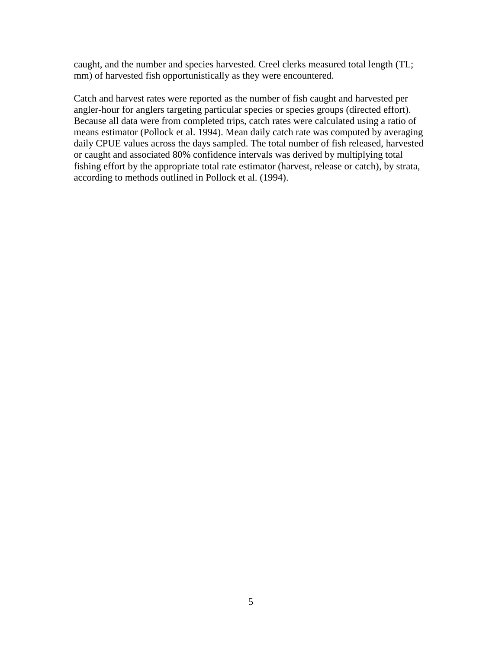caught, and the number and species harvested. Creel clerks measured total length (TL; mm) of harvested fish opportunistically as they were encountered.

Catch and harvest rates were reported as the number of fish caught and harvested per angler-hour for anglers targeting particular species or species groups (directed effort). Because all data were from completed trips, catch rates were calculated using a ratio of means estimator (Pollock et al. 1994). Mean daily catch rate was computed by averaging daily CPUE values across the days sampled. The total number of fish released, harvested or caught and associated 80% confidence intervals was derived by multiplying total fishing effort by the appropriate total rate estimator (harvest, release or catch), by strata, according to methods outlined in Pollock et al. (1994).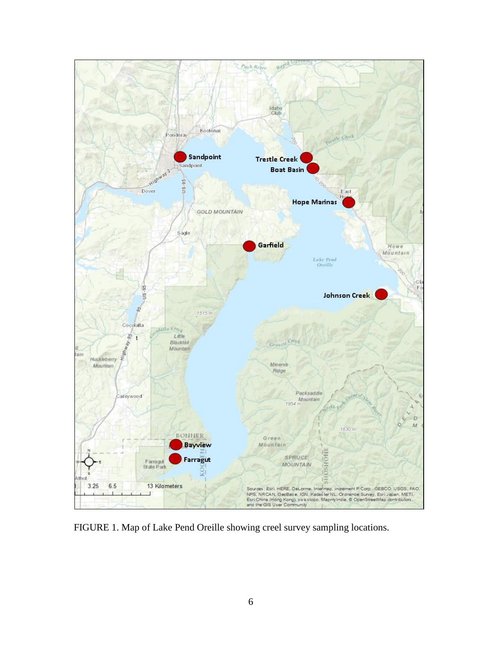

<span id="page-8-0"></span>FIGURE 1. Map of Lake Pend Oreille showing creel survey sampling locations.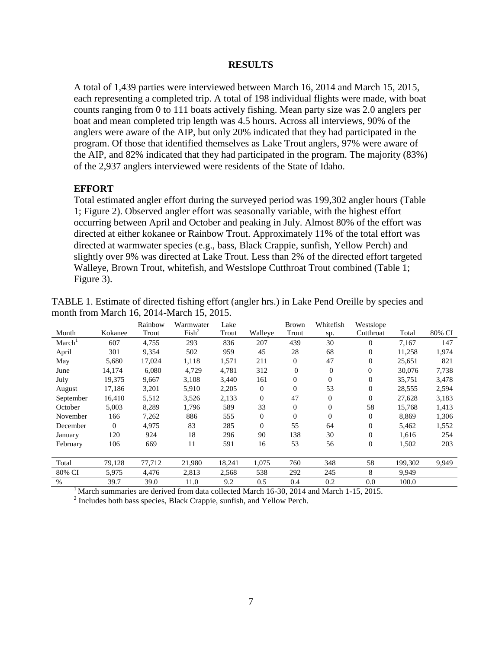#### **RESULTS**

<span id="page-9-0"></span>A total of 1,439 parties were interviewed between March 16, 2014 and March 15, 2015, each representing a completed trip. A total of 198 individual flights were made, with boat counts ranging from 0 to 111 boats actively fishing. Mean party size was 2.0 anglers per boat and mean completed trip length was 4.5 hours. Across all interviews, 90% of the anglers were aware of the AIP, but only 20% indicated that they had participated in the program. Of those that identified themselves as Lake Trout anglers, 97% were aware of the AIP, and 82% indicated that they had participated in the program. The majority (83%) of the 2,937 anglers interviewed were residents of the State of Idaho.

# <span id="page-9-1"></span>**EFFORT**

Total estimated angler effort during the surveyed period was 199,302 angler hours (Table 1; Figure 2). Observed angler effort was seasonally variable, with the highest effort occurring between April and October and peaking in July. Almost 80% of the effort was directed at either kokanee or Rainbow Trout. Approximately 11% of the total effort was directed at warmwater species (e.g., bass, Black Crappie, sunfish, Yellow Perch) and slightly over 9% was directed at Lake Trout. Less than 2% of the directed effort targeted Walleye, Brown Trout, whitefish, and Westslope Cutthroat Trout combined (Table 1; Figure 3).

|                    |              | Rainbow | Warmwater         | Lake   |              | <b>Brown</b> | Whitefish      | Westslope      |         |        |
|--------------------|--------------|---------|-------------------|--------|--------------|--------------|----------------|----------------|---------|--------|
| Month              | Kokanee      | Trout   | Fish <sup>2</sup> | Trout  | Walleye      | Trout        | sp.            | Cutthroat      | Total   | 80% CI |
| March <sup>1</sup> | 607          | 4,755   | 293               | 836    | 207          | 439          | 30             | $\Omega$       | 7,167   | 147    |
| April              | 301          | 9,354   | 502               | 959    | 45           | 28           | 68             | $\theta$       | 11,258  | 1,974  |
| May                | 5,680        | 17,024  | 1,118             | 1,571  | 211          | $\Omega$     | 47             | $\Omega$       | 25,651  | 821    |
| June               | 14,174       | 6,080   | 4,729             | 4,781  | 312          | $\theta$     | $\overline{0}$ | $\Omega$       | 30,076  | 7,738  |
| July               | 19,375       | 9,667   | 3,108             | 3,440  | 161          | $\Omega$     | $\theta$       | $\theta$       | 35,751  | 3,478  |
| August             | 17,186       | 3,201   | 5,910             | 2,205  | $\mathbf{0}$ | $\Omega$     | 53             | $\Omega$       | 28,555  | 2,594  |
| September          | 16,410       | 5,512   | 3,526             | 2,133  | $\mathbf{0}$ | 47           | $\overline{0}$ | $\Omega$       | 27,628  | 3,183  |
| October            | 5,003        | 8,289   | 1,796             | 589    | 33           | $\Omega$     | $\theta$       | 58             | 15,768  | 1,413  |
| November           | 166          | 7,262   | 886               | 555    | $\mathbf{0}$ | $\Omega$     | $\mathbf{0}$   | $\Omega$       | 8,869   | 1,306  |
| December           | $\mathbf{0}$ | 4,975   | 83                | 285    | $\mathbf{0}$ | 55           | 64             | $\Omega$       | 5,462   | 1,552  |
| January            | 120          | 924     | 18                | 296    | 90           | 138          | 30             | $\Omega$       | 1,616   | 254    |
| February           | 106          | 669     | 11                | 591    | 16           | 53           | 56             | $\overline{0}$ | 1,502   | 203    |
|                    |              |         |                   |        |              |              |                |                |         |        |
| Total              | 79,128       | 77,712  | 21,980            | 18,241 | 1,075        | 760          | 348            | 58             | 199,302 | 9,949  |
| 80% CI             | 5,975        | 4,476   | 2,813             | 2,568  | 538          | 292          | 245            | 8              | 9,949   |        |
| $\%$               | 39.7         | 39.0    | 11.0              | 9.2    | 0.5          | 0.4          | 0.2            | 0.0            | 100.0   |        |

<span id="page-9-2"></span>TABLE 1. Estimate of directed fishing effort (angler hrs.) in Lake Pend Oreille by species and month from March 16, 2014-March 15, 2015.

<sup>1</sup> March summaries are derived from data collected March 16-30, 2014 and March 1-15, 2015.

<sup>2</sup> Includes both bass species, Black Crappie, sunfish, and Yellow Perch.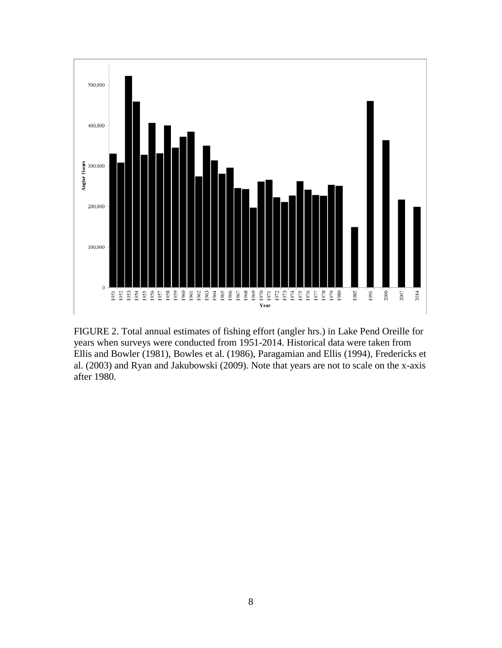

<span id="page-10-0"></span>FIGURE 2. Total annual estimates of fishing effort (angler hrs.) in Lake Pend Oreille for years when surveys were conducted from 1951-2014. Historical data were taken from Ellis and Bowler (1981), Bowles et al. (1986), Paragamian and Ellis (1994), Fredericks et al. (2003) and Ryan and Jakubowski (2009). Note that years are not to scale on the x-axis after 1980.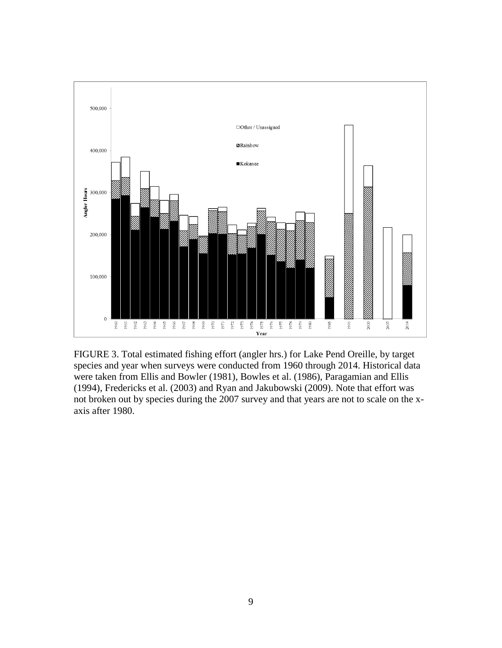

<span id="page-11-0"></span>FIGURE 3. Total estimated fishing effort (angler hrs.) for Lake Pend Oreille, by target species and year when surveys were conducted from 1960 through 2014. Historical data were taken from Ellis and Bowler (1981), Bowles et al. (1986), Paragamian and Ellis (1994), Fredericks et al. (2003) and Ryan and Jakubowski (2009). Note that effort was not broken out by species during the 2007 survey and that years are not to scale on the xaxis after 1980.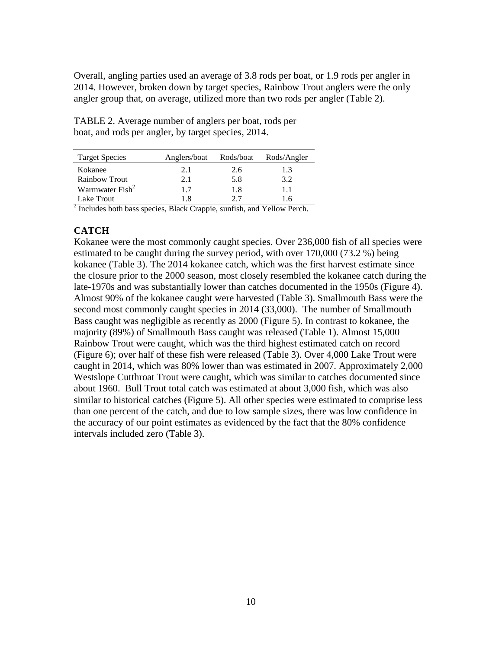Overall, angling parties used an average of 3.8 rods per boat, or 1.9 rods per angler in 2014. However, broken down by target species, Rainbow Trout anglers were the only angler group that, on average, utilized more than two rods per angler (Table 2).

| <b>Target Species</b>       | Anglers/boat | Rods/boat | Rods/Angler |  |  |
|-----------------------------|--------------|-----------|-------------|--|--|
| Kokanee                     | 2.1          | 2.6       | 1.3         |  |  |
| <b>Rainbow Trout</b>        | 2.1          | 5.8       | 3.2         |  |  |
| Warmwater Fish <sup>2</sup> | 17           | 1.8       | 11          |  |  |
| Lake Trout                  | 18           | 77        |             |  |  |

<span id="page-12-1"></span>TABLE 2. Average number of anglers per boat, rods per boat, and rods per angler, by target species, 2014.

 $2$  Includes both bass species, Black Crappie, sunfish, and Yellow Perch.

# <span id="page-12-0"></span>**CATCH**

Kokanee were the most commonly caught species. Over 236,000 fish of all species were estimated to be caught during the survey period, with over 170,000 (73.2 %) being kokanee (Table 3). The 2014 kokanee catch, which was the first harvest estimate since the closure prior to the 2000 season, most closely resembled the kokanee catch during the late-1970s and was substantially lower than catches documented in the 1950s (Figure 4). Almost 90% of the kokanee caught were harvested (Table 3). Smallmouth Bass were the second most commonly caught species in 2014 (33,000). The number of Smallmouth Bass caught was negligible as recently as 2000 (Figure 5). In contrast to kokanee, the majority (89%) of Smallmouth Bass caught was released (Table 1). Almost 15,000 Rainbow Trout were caught, which was the third highest estimated catch on record (Figure 6); over half of these fish were released (Table 3). Over 4,000 Lake Trout were caught in 2014, which was 80% lower than was estimated in 2007. Approximately 2,000 Westslope Cutthroat Trout were caught, which was similar to catches documented since about 1960. Bull Trout total catch was estimated at about 3,000 fish, which was also similar to historical catches (Figure 5). All other species were estimated to comprise less than one percent of the catch, and due to low sample sizes, there was low confidence in the accuracy of our point estimates as evidenced by the fact that the 80% confidence intervals included zero (Table 3).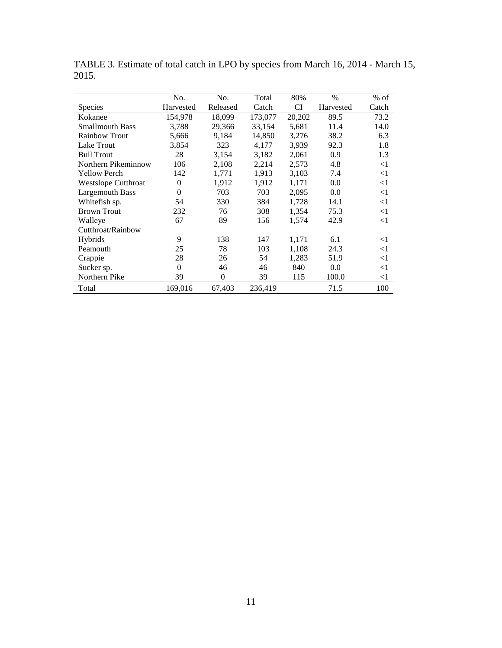|                            | No.       | No.      | Total   | 80%    | $\%$      | $%$ of |
|----------------------------|-----------|----------|---------|--------|-----------|--------|
| <b>Species</b>             | Harvested | Released | Catch   | CI     | Harvested | Catch  |
| Kokanee                    | 154,978   | 18,099   | 173,077 | 20,202 | 89.5      | 73.2   |
| <b>Smallmouth Bass</b>     | 3,788     | 29,366   | 33,154  | 5,681  | 11.4      | 14.0   |
| <b>Rainbow Trout</b>       | 5,666     | 9,184    | 14,850  | 3,276  | 38.2      | 6.3    |
| Lake Trout                 | 3,854     | 323      | 4,177   | 3,939  | 92.3      | 1.8    |
| <b>Bull Trout</b>          | 28        | 3,154    | 3,182   | 2,061  | 0.9       | 1.3    |
| Northern Pikeminnow        | 106       | 2,108    | 2,214   | 2,573  | 4.8       | $<$ 1  |
| Yellow Perch               | 142       | 1,771    | 1,913   | 3,103  | 7.4       | $<$ 1  |
| <b>Westslope Cutthroat</b> | $\theta$  | 1,912    | 1,912   | 1,171  | 0.0       | $<$ 1  |
| Largemouth Bass            | $\theta$  | 703      | 703     | 2,095  | 0.0       | $<$ 1  |
| Whitefish sp.              | 54        | 330      | 384     | 1,728  | 14.1      | $<$ 1  |
| <b>Brown Trout</b>         | 232       | 76       | 308     | 1,354  | 75.3      | $<$ 1  |
| Walleye                    | 67        | 89       | 156     | 1,574  | 42.9      | $<$ 1  |
| Cutthroat/Rainbow          |           |          |         |        |           |        |
| Hybrids                    | 9         | 138      | 147     | 1,171  | 6.1       | $<$ 1  |
| Peamouth                   | 25        | 78       | 103     | 1,108  | 24.3      | $<$ 1  |
| Crappie                    | 28        | 26       | 54      | 1,283  | 51.9      | $<$ 1  |
| Sucker sp.                 | $\theta$  | 46       | 46      | 840    | 0.0       | $<$ 1  |
| Northern Pike              | 39        | $\theta$ | 39      | 115    | 100.0     | $<$ 1  |
| Total                      | 169,016   | 67,403   | 236,419 |        | 71.5      | 100    |

<span id="page-13-0"></span>TABLE 3. Estimate of total catch in LPO by species from March 16, 2014 - March 15, 2015.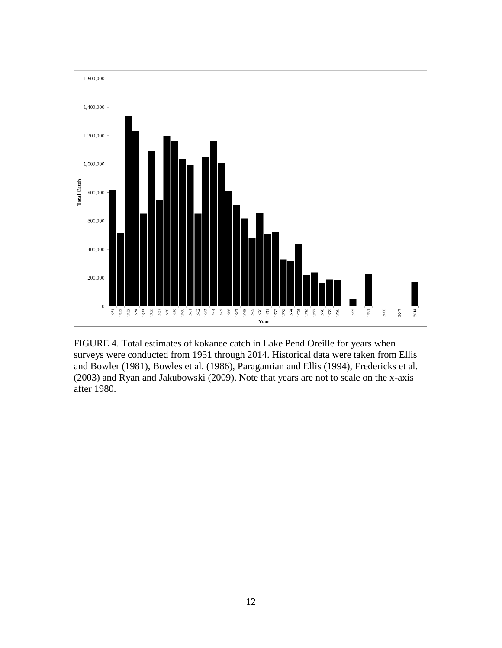

<span id="page-14-0"></span>FIGURE 4. Total estimates of kokanee catch in Lake Pend Oreille for years when surveys were conducted from 1951 through 2014. Historical data were taken from Ellis and Bowler (1981), Bowles et al. (1986), Paragamian and Ellis (1994), Fredericks et al. (2003) and Ryan and Jakubowski (2009). Note that years are not to scale on the x-axis after 1980.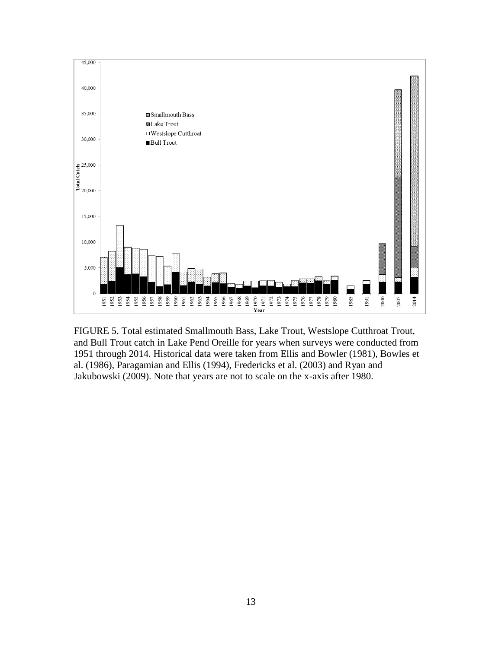

<span id="page-15-0"></span>FIGURE 5. Total estimated Smallmouth Bass, Lake Trout, Westslope Cutthroat Trout, and Bull Trout catch in Lake Pend Oreille for years when surveys were conducted from 1951 through 2014. Historical data were taken from Ellis and Bowler (1981), Bowles et al. (1986), Paragamian and Ellis (1994), Fredericks et al. (2003) and Ryan and Jakubowski (2009). Note that years are not to scale on the x-axis after 1980.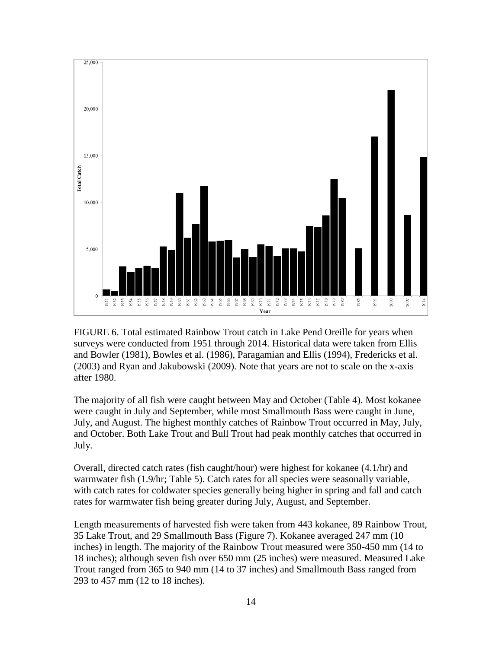

<span id="page-16-0"></span>FIGURE 6. Total estimated Rainbow Trout catch in Lake Pend Oreille for years when surveys were conducted from 1951 through 2014. Historical data were taken from Ellis and Bowler (1981), Bowles et al. (1986), Paragamian and Ellis (1994), Fredericks et al. (2003) and Ryan and Jakubowski (2009). Note that years are not to scale on the x-axis after 1980.

The majority of all fish were caught between May and October (Table 4). Most kokanee were caught in July and September, while most Smallmouth Bass were caught in June, July, and August. The highest monthly catches of Rainbow Trout occurred in May, July, and October. Both Lake Trout and Bull Trout had peak monthly catches that occurred in July.

Overall, directed catch rates (fish caught/hour) were highest for kokanee (4.1/hr) and warmwater fish (1.9/hr; Table 5). Catch rates for all species were seasonally variable, with catch rates for coldwater species generally being higher in spring and fall and catch rates for warmwater fish being greater during July, August, and September.

Length measurements of harvested fish were taken from 443 kokanee, 89 Rainbow Trout, 35 Lake Trout, and 29 Smallmouth Bass (Figure 7). Kokanee averaged 247 mm (10 inches) in length. The majority of the Rainbow Trout measured were 350-450 mm (14 to 18 inches); although seven fish over 650 mm (25 inches) were measured. Measured Lake Trout ranged from 365 to 940 mm (14 to 37 inches) and Smallmouth Bass ranged from 293 to 457 mm (12 to 18 inches).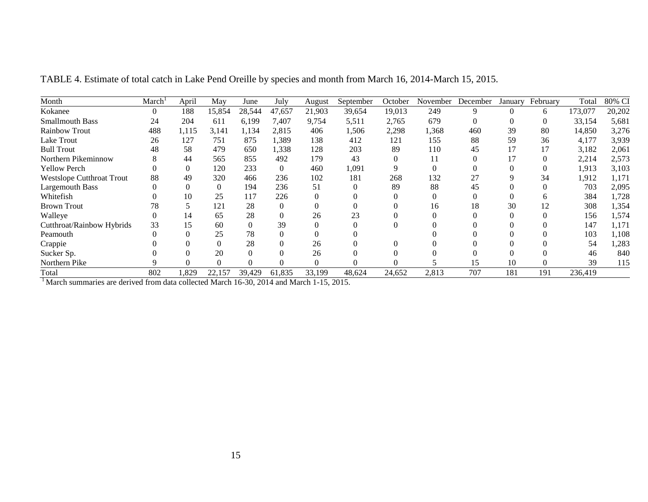| Month                            | March    | April        | May      | June     | July     | August   | September | October | November | December | January  | February | Total   | 80% CI |
|----------------------------------|----------|--------------|----------|----------|----------|----------|-----------|---------|----------|----------|----------|----------|---------|--------|
| Kokanee                          | $\Omega$ | 188          | 15,854   | 28,544   | 47,657   | 21,903   | 39,654    | 19,013  | 249      | 9        | $\theta$ | 6.       | 173,077 | 20,202 |
| <b>Smallmouth Bass</b>           | 24       | 204          | 611      | 6,199    | 7.407    | 9,754    | 5,511     | 2,765   | 679      | $\Omega$ |          |          | 33,154  | 5,681  |
| Rainbow Trout                    | 488      | 1,115        | 3,141    | 1,134    | 2,815    | 406      | 1,506     | 2,298   | 1,368    | 460      | 39       | 80       | 14,850  | 3,276  |
| Lake Trout                       | 26       | 127          | 751      | 875      | 1,389    | 138      | 412       | 121     | 155      | 88       | 59       | 36       | 4,177   | 3,939  |
| <b>Bull Trout</b>                | 48       | 58           | 479      | 650      | 1,338    | 128      | 203       | 89      | 110      | 45       |          |          | 3,182   | 2,061  |
| Northern Pikeminnow              | 8        | 44           | 565      | 855      | 492      | 179      | 43        |         |          |          |          |          | 2,214   | 2,573  |
| <b>Yellow Perch</b>              |          | $\Omega$     | 120      | 233      | $\Omega$ | 460      | 1,091     |         |          |          |          |          | 1,913   | 3,103  |
| <b>Westslope Cutthroat Trout</b> | 88       | 49           | 320      | 466      | 236      | 102      | 181       | 268     | 132      |          |          | 34       | 1,912   | 1,171  |
| <b>Largemouth Bass</b>           |          | $\mathbf{0}$ | $\Omega$ | 194      | 236      | 51       |           | 89      | 88       | 45       |          |          | 703     | 2,095  |
| Whitefish                        |          | 10           | 25       | 117      | 226      |          |           |         |          |          |          |          | 384     | 1,728  |
| <b>Brown Trout</b>               | 78       |              | 121      | 28       | $\Omega$ |          |           |         | 16       | 18       | 30       |          | 308     | 1,354  |
| Walleye                          |          | 14           | 65       | 28       |          | 26       | 23        |         |          |          |          |          | 156     | 1,574  |
| Cutthroat/Rainbow Hybrids        | 33       | 15           | 60       | $\Omega$ | 39       |          |           |         |          |          |          |          | 147     | 1,171  |
| Peamouth                         |          | 0            | 25       | 78       |          |          |           |         |          |          |          |          | 103     | 1,108  |
| Crappie                          |          | 0            | $\Omega$ | 28       |          | 26       |           |         |          |          |          |          | 54      | 1,283  |
| Sucker Sp.                       |          |              | 20       |          |          | 26       |           |         |          |          |          |          | 46      | 840    |
| Northern Pike                    |          | ∩            | $\Omega$ |          |          | $\Omega$ |           |         |          | 15       | 10       |          | 39      | 115    |
| Total                            | 802      | 1,829        | 22,157   | 39,429   | 61,835   | 33,199   | 48,624    | 24,652  | 2,813    | 707      | 181      | 191      | 236,419 |        |

TABLE 4. Estimate of total catch in Lake Pend Oreille by species and month from March 16, 2014-March 15, 2015.

<span id="page-17-0"></span><sup>1</sup> March summaries are derived from data collected March 16-30, 2014 and March 1-15, 2015.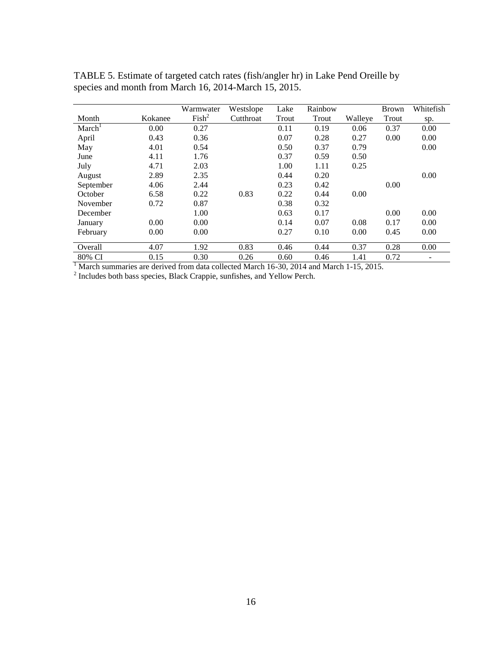|                    |         | Warmwater         | Westslope | Lake  | Rainbow |         | <b>Brown</b> | Whitefish |
|--------------------|---------|-------------------|-----------|-------|---------|---------|--------------|-----------|
| Month              | Kokanee | Fish <sup>2</sup> | Cutthroat | Trout | Trout   | Walleye | Trout        | sp.       |
| March <sup>1</sup> | 0.00    | 0.27              |           | 0.11  | 0.19    | 0.06    | 0.37         | 0.00      |
| April              | 0.43    | 0.36              |           | 0.07  | 0.28    | 0.27    | 0.00         | 0.00      |
| May                | 4.01    | 0.54              |           | 0.50  | 0.37    | 0.79    |              | 0.00      |
| June               | 4.11    | 1.76              |           | 0.37  | 0.59    | 0.50    |              |           |
| July               | 4.71    | 2.03              |           | 1.00  | 1.11    | 0.25    |              |           |
| August             | 2.89    | 2.35              |           | 0.44  | 0.20    |         |              | 0.00      |
| September          | 4.06    | 2.44              |           | 0.23  | 0.42    |         | 0.00         |           |
| October            | 6.58    | 0.22              | 0.83      | 0.22  | 0.44    | 0.00    |              |           |
| November           | 0.72    | 0.87              |           | 0.38  | 0.32    |         |              |           |
| December           |         | 1.00              |           | 0.63  | 0.17    |         | 0.00         | 0.00      |
| January            | 0.00    | 0.00              |           | 0.14  | 0.07    | 0.08    | 0.17         | 0.00      |
| February           | 0.00    | 0.00              |           | 0.27  | 0.10    | 0.00    | 0.45         | 0.00      |
|                    |         |                   |           |       |         |         |              |           |
| Overall            | 4.07    | 1.92              | 0.83      | 0.46  | 0.44    | 0.37    | 0.28         | 0.00      |
| 80% CI             | 0.15    | 0.30              | 0.26      | 0.60  | 0.46    | 1.41    | 0.72         |           |

<span id="page-18-0"></span>TABLE 5. Estimate of targeted catch rates (fish/angler hr) in Lake Pend Oreille by species and month from March 16, 2014-March 15, 2015.

<sup>1</sup> March summaries are derived from data collected March 16-30, 2014 and March 1-15, 2015.<br><sup>2</sup> Includes both bass species, Black Crappie, sunfishes, and Yellow Perch.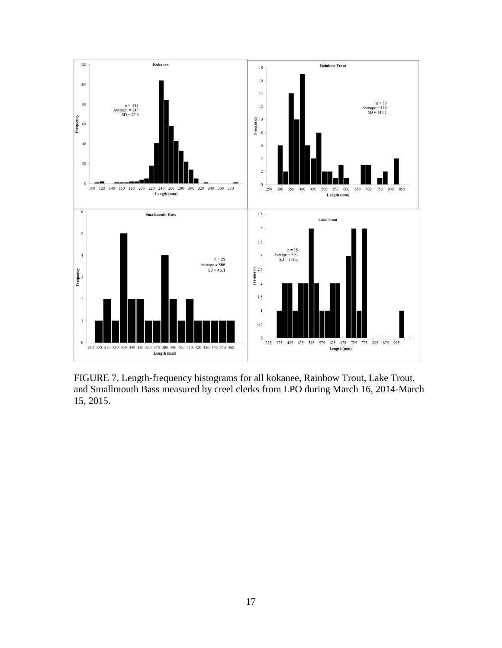

<span id="page-19-0"></span>FIGURE 7. Length-frequency histograms for all kokanee, Rainbow Trout, Lake Trout, and Smallmouth Bass measured by creel clerks from LPO during March 16, 2014-March 15, 2015.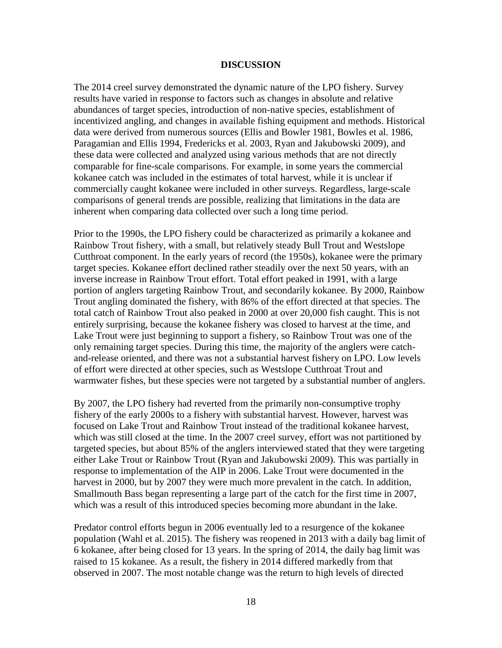### **DISCUSSION**

<span id="page-20-0"></span>The 2014 creel survey demonstrated the dynamic nature of the LPO fishery. Survey results have varied in response to factors such as changes in absolute and relative abundances of target species, introduction of non-native species, establishment of incentivized angling, and changes in available fishing equipment and methods. Historical data were derived from numerous sources (Ellis and Bowler 1981, Bowles et al. 1986, Paragamian and Ellis 1994, Fredericks et al. 2003, Ryan and Jakubowski 2009), and these data were collected and analyzed using various methods that are not directly comparable for fine-scale comparisons. For example, in some years the commercial kokanee catch was included in the estimates of total harvest, while it is unclear if commercially caught kokanee were included in other surveys. Regardless, large-scale comparisons of general trends are possible, realizing that limitations in the data are inherent when comparing data collected over such a long time period.

Prior to the 1990s, the LPO fishery could be characterized as primarily a kokanee and Rainbow Trout fishery, with a small, but relatively steady Bull Trout and Westslope Cutthroat component. In the early years of record (the 1950s), kokanee were the primary target species. Kokanee effort declined rather steadily over the next 50 years, with an inverse increase in Rainbow Trout effort. Total effort peaked in 1991, with a large portion of anglers targeting Rainbow Trout, and secondarily kokanee. By 2000, Rainbow Trout angling dominated the fishery, with 86% of the effort directed at that species. The total catch of Rainbow Trout also peaked in 2000 at over 20,000 fish caught. This is not entirely surprising, because the kokanee fishery was closed to harvest at the time, and Lake Trout were just beginning to support a fishery, so Rainbow Trout was one of the only remaining target species. During this time, the majority of the anglers were catchand-release oriented, and there was not a substantial harvest fishery on LPO. Low levels of effort were directed at other species, such as Westslope Cutthroat Trout and warmwater fishes, but these species were not targeted by a substantial number of anglers.

By 2007, the LPO fishery had reverted from the primarily non-consumptive trophy fishery of the early 2000s to a fishery with substantial harvest. However, harvest was focused on Lake Trout and Rainbow Trout instead of the traditional kokanee harvest, which was still closed at the time. In the 2007 creel survey, effort was not partitioned by targeted species, but about 85% of the anglers interviewed stated that they were targeting either Lake Trout or Rainbow Trout (Ryan and Jakubowski 2009). This was partially in response to implementation of the AIP in 2006. Lake Trout were documented in the harvest in 2000, but by 2007 they were much more prevalent in the catch. In addition, Smallmouth Bass began representing a large part of the catch for the first time in 2007, which was a result of this introduced species becoming more abundant in the lake.

Predator control efforts begun in 2006 eventually led to a resurgence of the kokanee population (Wahl et al. 2015). The fishery was reopened in 2013 with a daily bag limit of 6 kokanee, after being closed for 13 years. In the spring of 2014, the daily bag limit was raised to 15 kokanee. As a result, the fishery in 2014 differed markedly from that observed in 2007. The most notable change was the return to high levels of directed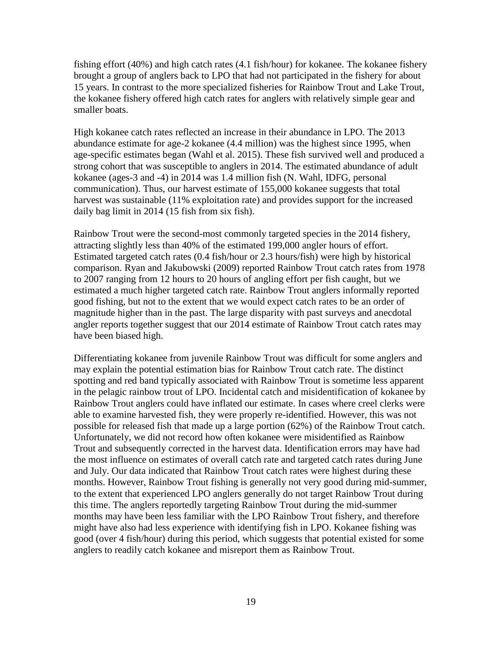fishing effort (40%) and high catch rates (4.1 fish/hour) for kokanee. The kokanee fishery brought a group of anglers back to LPO that had not participated in the fishery for about 15 years. In contrast to the more specialized fisheries for Rainbow Trout and Lake Trout, the kokanee fishery offered high catch rates for anglers with relatively simple gear and smaller boats.

High kokanee catch rates reflected an increase in their abundance in LPO. The 2013 abundance estimate for age-2 kokanee (4.4 million) was the highest since 1995, when age-specific estimates began (Wahl et al. 2015). These fish survived well and produced a strong cohort that was susceptible to anglers in 2014. The estimated abundance of adult kokanee (ages-3 and -4) in 2014 was 1.4 million fish (N. Wahl, IDFG, personal communication). Thus, our harvest estimate of 155,000 kokanee suggests that total harvest was sustainable (11% exploitation rate) and provides support for the increased daily bag limit in 2014 (15 fish from six fish).

Rainbow Trout were the second-most commonly targeted species in the 2014 fishery, attracting slightly less than 40% of the estimated 199,000 angler hours of effort. Estimated targeted catch rates (0.4 fish/hour or 2.3 hours/fish) were high by historical comparison. Ryan and Jakubowski (2009) reported Rainbow Trout catch rates from 1978 to 2007 ranging from 12 hours to 20 hours of angling effort per fish caught, but we estimated a much higher targeted catch rate. Rainbow Trout anglers informally reported good fishing, but not to the extent that we would expect catch rates to be an order of magnitude higher than in the past. The large disparity with past surveys and anecdotal angler reports together suggest that our 2014 estimate of Rainbow Trout catch rates may have been biased high.

Differentiating kokanee from juvenile Rainbow Trout was difficult for some anglers and may explain the potential estimation bias for Rainbow Trout catch rate. The distinct spotting and red band typically associated with Rainbow Trout is sometime less apparent in the pelagic rainbow trout of LPO. Incidental catch and misidentification of kokanee by Rainbow Trout anglers could have inflated our estimate. In cases where creel clerks were able to examine harvested fish, they were properly re-identified. However, this was not possible for released fish that made up a large portion (62%) of the Rainbow Trout catch. Unfortunately, we did not record how often kokanee were misidentified as Rainbow Trout and subsequently corrected in the harvest data. Identification errors may have had the most influence on estimates of overall catch rate and targeted catch rates during June and July. Our data indicated that Rainbow Trout catch rates were highest during these months. However, Rainbow Trout fishing is generally not very good during mid-summer, to the extent that experienced LPO anglers generally do not target Rainbow Trout during this time. The anglers reportedly targeting Rainbow Trout during the mid-summer months may have been less familiar with the LPO Rainbow Trout fishery, and therefore might have also had less experience with identifying fish in LPO. Kokanee fishing was good (over 4 fish/hour) during this period, which suggests that potential existed for some anglers to readily catch kokanee and misreport them as Rainbow Trout.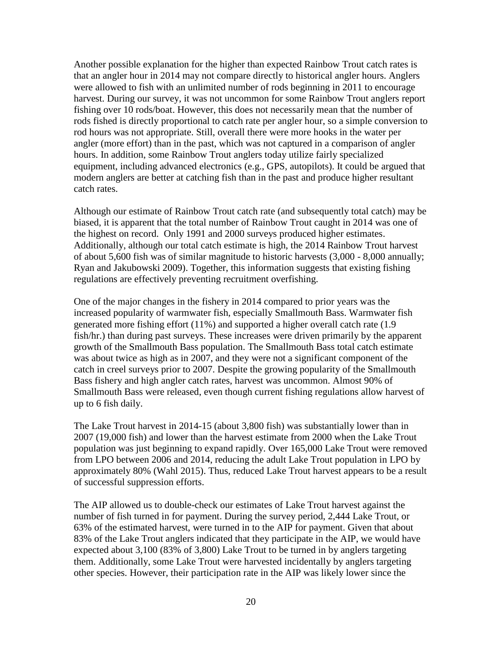Another possible explanation for the higher than expected Rainbow Trout catch rates is that an angler hour in 2014 may not compare directly to historical angler hours. Anglers were allowed to fish with an unlimited number of rods beginning in 2011 to encourage harvest. During our survey, it was not uncommon for some Rainbow Trout anglers report fishing over 10 rods/boat. However, this does not necessarily mean that the number of rods fished is directly proportional to catch rate per angler hour, so a simple conversion to rod hours was not appropriate. Still, overall there were more hooks in the water per angler (more effort) than in the past, which was not captured in a comparison of angler hours. In addition, some Rainbow Trout anglers today utilize fairly specialized equipment, including advanced electronics (e.g., GPS, autopilots). It could be argued that modern anglers are better at catching fish than in the past and produce higher resultant catch rates.

Although our estimate of Rainbow Trout catch rate (and subsequently total catch) may be biased, it is apparent that the total number of Rainbow Trout caught in 2014 was one of the highest on record. Only 1991 and 2000 surveys produced higher estimates. Additionally, although our total catch estimate is high, the 2014 Rainbow Trout harvest of about 5,600 fish was of similar magnitude to historic harvests (3,000 - 8,000 annually; Ryan and Jakubowski 2009). Together, this information suggests that existing fishing regulations are effectively preventing recruitment overfishing.

One of the major changes in the fishery in 2014 compared to prior years was the increased popularity of warmwater fish, especially Smallmouth Bass. Warmwater fish generated more fishing effort (11%) and supported a higher overall catch rate (1.9 fish/hr.) than during past surveys. These increases were driven primarily by the apparent growth of the Smallmouth Bass population. The Smallmouth Bass total catch estimate was about twice as high as in 2007, and they were not a significant component of the catch in creel surveys prior to 2007. Despite the growing popularity of the Smallmouth Bass fishery and high angler catch rates, harvest was uncommon. Almost 90% of Smallmouth Bass were released, even though current fishing regulations allow harvest of up to 6 fish daily.

The Lake Trout harvest in 2014-15 (about 3,800 fish) was substantially lower than in 2007 (19,000 fish) and lower than the harvest estimate from 2000 when the Lake Trout population was just beginning to expand rapidly. Over 165,000 Lake Trout were removed from LPO between 2006 and 2014, reducing the adult Lake Trout population in LPO by approximately 80% (Wahl 2015). Thus, reduced Lake Trout harvest appears to be a result of successful suppression efforts.

The AIP allowed us to double-check our estimates of Lake Trout harvest against the number of fish turned in for payment. During the survey period, 2,444 Lake Trout, or 63% of the estimated harvest, were turned in to the AIP for payment. Given that about 83% of the Lake Trout anglers indicated that they participate in the AIP, we would have expected about 3,100 (83% of 3,800) Lake Trout to be turned in by anglers targeting them. Additionally, some Lake Trout were harvested incidentally by anglers targeting other species. However, their participation rate in the AIP was likely lower since the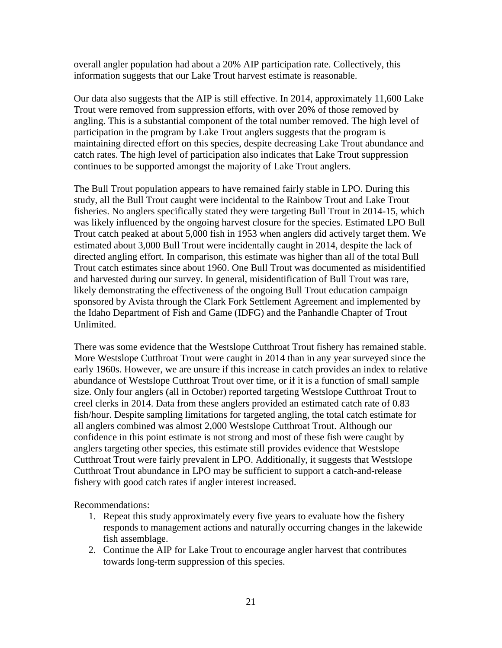overall angler population had about a 20% AIP participation rate. Collectively, this information suggests that our Lake Trout harvest estimate is reasonable.

Our data also suggests that the AIP is still effective. In 2014, approximately 11,600 Lake Trout were removed from suppression efforts, with over 20% of those removed by angling. This is a substantial component of the total number removed. The high level of participation in the program by Lake Trout anglers suggests that the program is maintaining directed effort on this species, despite decreasing Lake Trout abundance and catch rates. The high level of participation also indicates that Lake Trout suppression continues to be supported amongst the majority of Lake Trout anglers.

The Bull Trout population appears to have remained fairly stable in LPO. During this study, all the Bull Trout caught were incidental to the Rainbow Trout and Lake Trout fisheries. No anglers specifically stated they were targeting Bull Trout in 2014-15, which was likely influenced by the ongoing harvest closure for the species. Estimated LPO Bull Trout catch peaked at about 5,000 fish in 1953 when anglers did actively target them. We estimated about 3,000 Bull Trout were incidentally caught in 2014, despite the lack of directed angling effort. In comparison, this estimate was higher than all of the total Bull Trout catch estimates since about 1960. One Bull Trout was documented as misidentified and harvested during our survey. In general, misidentification of Bull Trout was rare, likely demonstrating the effectiveness of the ongoing Bull Trout education campaign sponsored by Avista through the Clark Fork Settlement Agreement and implemented by the Idaho Department of Fish and Game (IDFG) and the Panhandle Chapter of Trout Unlimited.

There was some evidence that the Westslope Cutthroat Trout fishery has remained stable. More Westslope Cutthroat Trout were caught in 2014 than in any year surveyed since the early 1960s. However, we are unsure if this increase in catch provides an index to relative abundance of Westslope Cutthroat Trout over time, or if it is a function of small sample size. Only four anglers (all in October) reported targeting Westslope Cutthroat Trout to creel clerks in 2014. Data from these anglers provided an estimated catch rate of 0.83 fish/hour. Despite sampling limitations for targeted angling, the total catch estimate for all anglers combined was almost 2,000 Westslope Cutthroat Trout. Although our confidence in this point estimate is not strong and most of these fish were caught by anglers targeting other species, this estimate still provides evidence that Westslope Cutthroat Trout were fairly prevalent in LPO. Additionally, it suggests that Westslope Cutthroat Trout abundance in LPO may be sufficient to support a catch-and-release fishery with good catch rates if angler interest increased.

Recommendations:

- 1. Repeat this study approximately every five years to evaluate how the fishery responds to management actions and naturally occurring changes in the lakewide fish assemblage.
- 2. Continue the AIP for Lake Trout to encourage angler harvest that contributes towards long-term suppression of this species.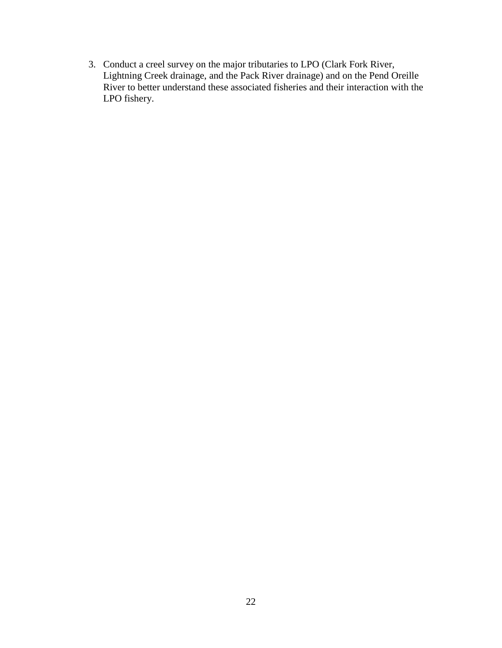3. Conduct a creel survey on the major tributaries to LPO (Clark Fork River, Lightning Creek drainage, and the Pack River drainage) and on the Pend Oreille River to better understand these associated fisheries and their interaction with the LPO fishery.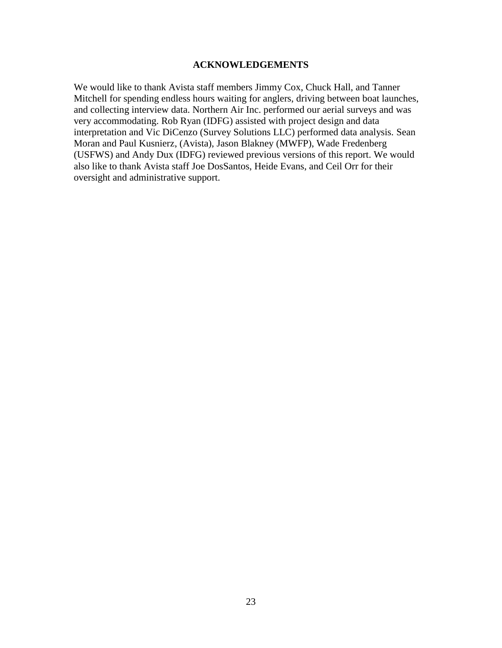# **ACKNOWLEDGEMENTS**

<span id="page-25-0"></span>We would like to thank Avista staff members Jimmy Cox, Chuck Hall, and Tanner Mitchell for spending endless hours waiting for anglers, driving between boat launches, and collecting interview data. Northern Air Inc. performed our aerial surveys and was very accommodating. Rob Ryan (IDFG) assisted with project design and data interpretation and Vic DiCenzo (Survey Solutions LLC) performed data analysis. Sean Moran and Paul Kusnierz, (Avista), Jason Blakney (MWFP), Wade Fredenberg (USFWS) and Andy Dux (IDFG) reviewed previous versions of this report. We would also like to thank Avista staff Joe DosSantos, Heide Evans, and Ceil Orr for their oversight and administrative support.